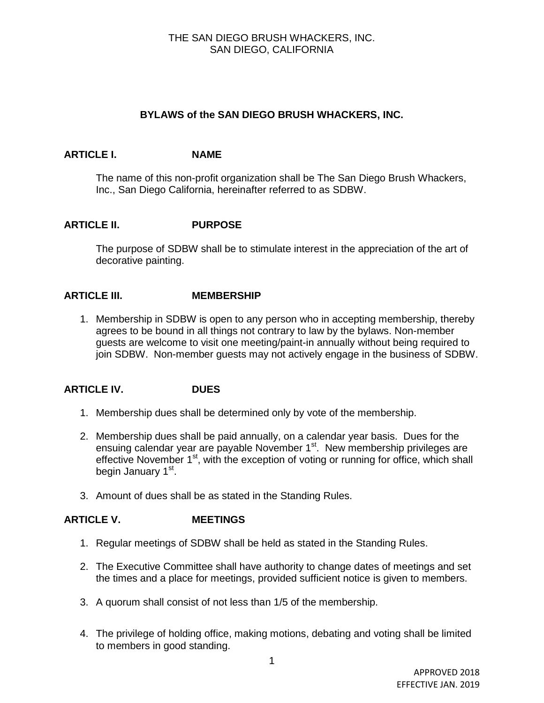# **BYLAWS of the SAN DIEGO BRUSH WHACKERS, INC.**

# **ARTICLE I. NAME**

The name of this non-profit organization shall be The San Diego Brush Whackers, Inc., San Diego California, hereinafter referred to as SDBW.

# **ARTICLE II. PURPOSE**

The purpose of SDBW shall be to stimulate interest in the appreciation of the art of decorative painting.

### **ARTICLE III. MEMBERSHIP**

1. Membership in SDBW is open to any person who in accepting membership, thereby agrees to be bound in all things not contrary to law by the bylaws. Non-member guests are welcome to visit one meeting/paint-in annually without being required to join SDBW. Non-member guests may not actively engage in the business of SDBW.

#### **ARTICLE IV. DUES**

- 1. Membership dues shall be determined only by vote of the membership.
- 2. Membership dues shall be paid annually, on a calendar year basis. Dues for the ensuing calendar year are payable November 1<sup>st</sup>. New membership privileges are effective November 1<sup>st</sup>, with the exception of voting or running for office, which shall begin January 1<sup>st</sup>.
- 3. Amount of dues shall be as stated in the Standing Rules.

# **ARTICLE V. MEETINGS**

- 1. Regular meetings of SDBW shall be held as stated in the Standing Rules.
- 2. The Executive Committee shall have authority to change dates of meetings and set the times and a place for meetings, provided sufficient notice is given to members.
- 3. A quorum shall consist of not less than 1/5 of the membership.
- 4. The privilege of holding office, making motions, debating and voting shall be limited to members in good standing.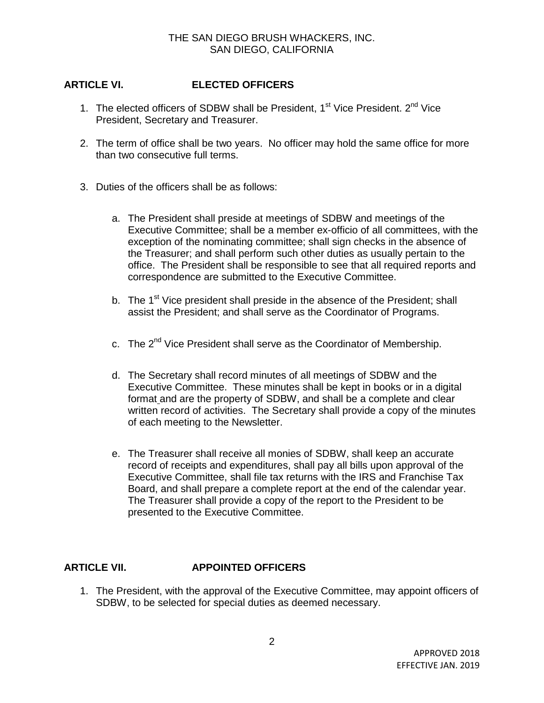# **ARTICLE VI. ELECTED OFFICERS**

- 1. The elected officers of SDBW shall be President,  $1<sup>st</sup>$  Vice President.  $2<sup>nd</sup>$  Vice President, Secretary and Treasurer.
- 2. The term of office shall be two years. No officer may hold the same office for more than two consecutive full terms.
- 3. Duties of the officers shall be as follows:
	- a. The President shall preside at meetings of SDBW and meetings of the Executive Committee; shall be a member ex-officio of all committees, with the exception of the nominating committee; shall sign checks in the absence of the Treasurer; and shall perform such other duties as usually pertain to the office. The President shall be responsible to see that all required reports and correspondence are submitted to the Executive Committee.
	- b. The 1<sup>st</sup> Vice president shall preside in the absence of the President; shall assist the President; and shall serve as the Coordinator of Programs.
	- c. The 2<sup>nd</sup> Vice President shall serve as the Coordinator of Membership.
	- d. The Secretary shall record minutes of all meetings of SDBW and the Executive Committee. These minutes shall be kept in books or in a digital format and are the property of SDBW, and shall be a complete and clear written record of activities. The Secretary shall provide a copy of the minutes of each meeting to the Newsletter.
	- e. The Treasurer shall receive all monies of SDBW, shall keep an accurate record of receipts and expenditures, shall pay all bills upon approval of the Executive Committee, shall file tax returns with the IRS and Franchise Tax Board, and shall prepare a complete report at the end of the calendar year. The Treasurer shall provide a copy of the report to the President to be presented to the Executive Committee.

# **ARTICLE VII. APPOINTED OFFICERS**

1. The President, with the approval of the Executive Committee, may appoint officers of SDBW, to be selected for special duties as deemed necessary.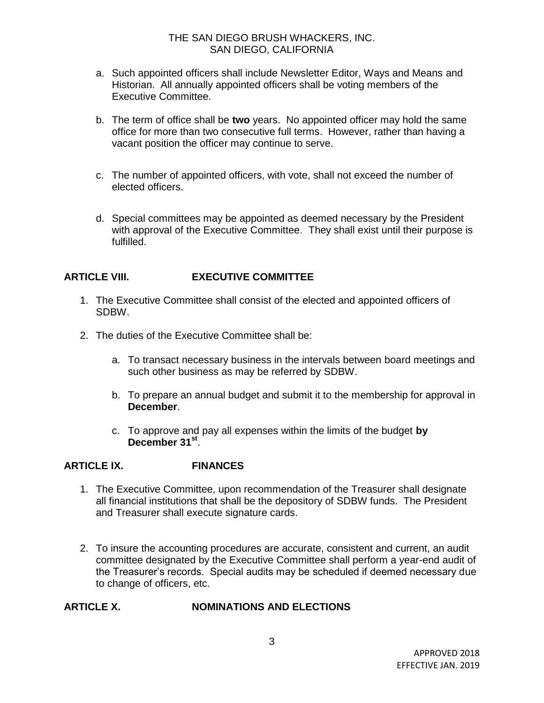- a. Such appointed officers shall include Newsletter Editor, Ways and Means and Historian. All annually appointed officers shall be voting members of the Executive Committee.
- b. The term of office shall be **two** years. No appointed officer may hold the same office for more than two consecutive full terms. However, rather than having a vacant position the officer may continue to serve.
- c. The number of appointed officers, with vote, shall not exceed the number of elected officers.
- d. Special committees may be appointed as deemed necessary by the President with approval of the Executive Committee. They shall exist until their purpose is fulfilled.

# **ARTICLE VIII. EXECUTIVE COMMITTEE**

- 1. The Executive Committee shall consist of the elected and appointed officers of SDBW.
- 2. The duties of the Executive Committee shall be:
	- a. To transact necessary business in the intervals between board meetings and such other business as may be referred by SDBW.
	- b. To prepare an annual budget and submit it to the membership for approval in **December**.
	- c. To approve and pay all expenses within the limits of the budget **by December 31st** .

# **ARTICLE IX. FINANCES**

- 1. The Executive Committee, upon recommendation of the Treasurer shall designate all financial institutions that shall be the depository of SDBW funds. The President and Treasurer shall execute signature cards.
- 2. To insure the accounting procedures are accurate, consistent and current, an audit committee designated by the Executive Committee shall perform a year-end audit of the Treasurer's records. Special audits may be scheduled if deemed necessary due to change of officers, etc.

# **ARTICLE X. NOMINATIONS AND ELECTIONS**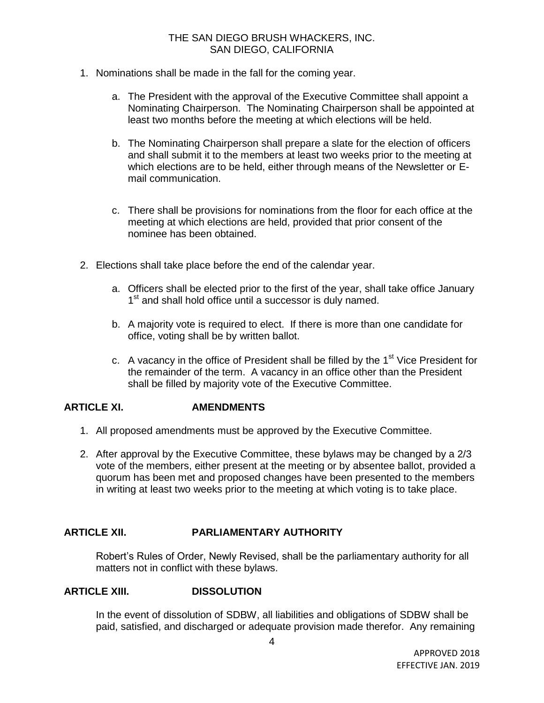- 1. Nominations shall be made in the fall for the coming year.
	- a. The President with the approval of the Executive Committee shall appoint a Nominating Chairperson. The Nominating Chairperson shall be appointed at least two months before the meeting at which elections will be held.
	- b. The Nominating Chairperson shall prepare a slate for the election of officers and shall submit it to the members at least two weeks prior to the meeting at which elections are to be held, either through means of the Newsletter or Email communication.
	- c. There shall be provisions for nominations from the floor for each office at the meeting at which elections are held, provided that prior consent of the nominee has been obtained.
- 2. Elections shall take place before the end of the calendar year.
	- a. Officers shall be elected prior to the first of the year, shall take office January 1<sup>st</sup> and shall hold office until a successor is duly named.
	- b. A majority vote is required to elect. If there is more than one candidate for office, voting shall be by written ballot.
	- c. A vacancy in the office of President shall be filled by the 1<sup>st</sup> Vice President for the remainder of the term. A vacancy in an office other than the President shall be filled by majority vote of the Executive Committee.

#### **ARTICLE XI. AMENDMENTS**

- 1. All proposed amendments must be approved by the Executive Committee.
- 2. After approval by the Executive Committee, these bylaws may be changed by a 2/3 vote of the members, either present at the meeting or by absentee ballot, provided a quorum has been met and proposed changes have been presented to the members in writing at least two weeks prior to the meeting at which voting is to take place.

#### **ARTICLE XII. PARLIAMENTARY AUTHORITY**

Robert's Rules of Order, Newly Revised, shall be the parliamentary authority for all matters not in conflict with these bylaws.

#### **ARTICLE XIII. DISSOLUTION**

In the event of dissolution of SDBW, all liabilities and obligations of SDBW shall be paid, satisfied, and discharged or adequate provision made therefor. Any remaining